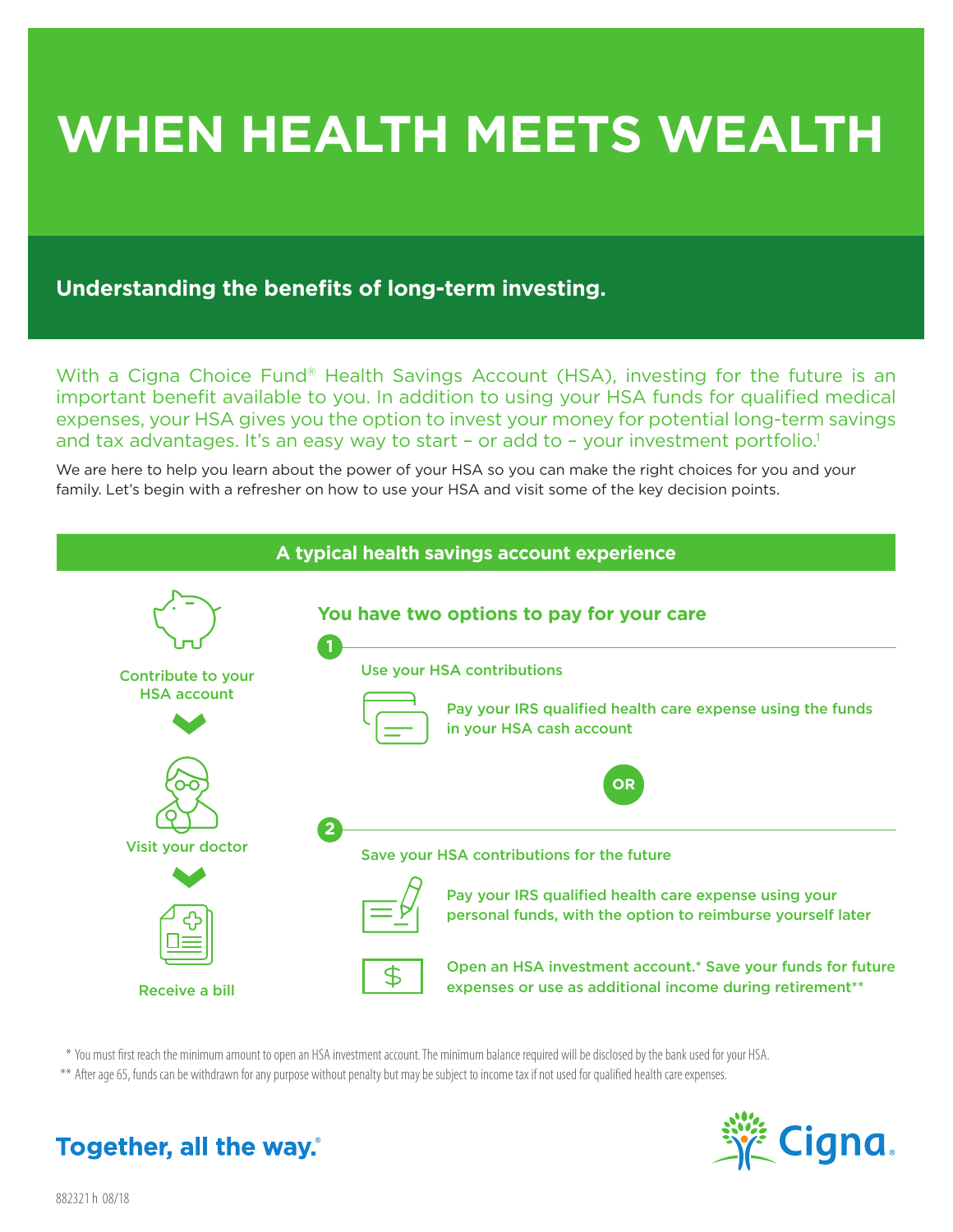# **WHEN HEALTH MEETS WEALTH**

# **Understanding the benefits of long-term investing.**

With a Cigna Choice Fund® Health Savings Account (HSA), investing for the future is an important benefit available to you. In addition to using your HSA funds for qualified medical expenses, your HSA gives you the option to invest your money for potential long-term savings and tax advantages. It's an easy way to start - or add to - your investment portfolio.<sup>1</sup>

We are here to help you learn about the power of your HSA so you can make the right choices for you and your family. Let's begin with a refresher on how to use your HSA and visit some of the key decision points.



\* You must first reach the minimum amount to open an HSA investment account. The minimum balance required will be disclosed by the bank used for your HSA.

\*\* After age 65, funds can be withdrawn for any purpose without penalty but may be subject to income tax if not used for qualified health care expenses.



# Together, all the way.